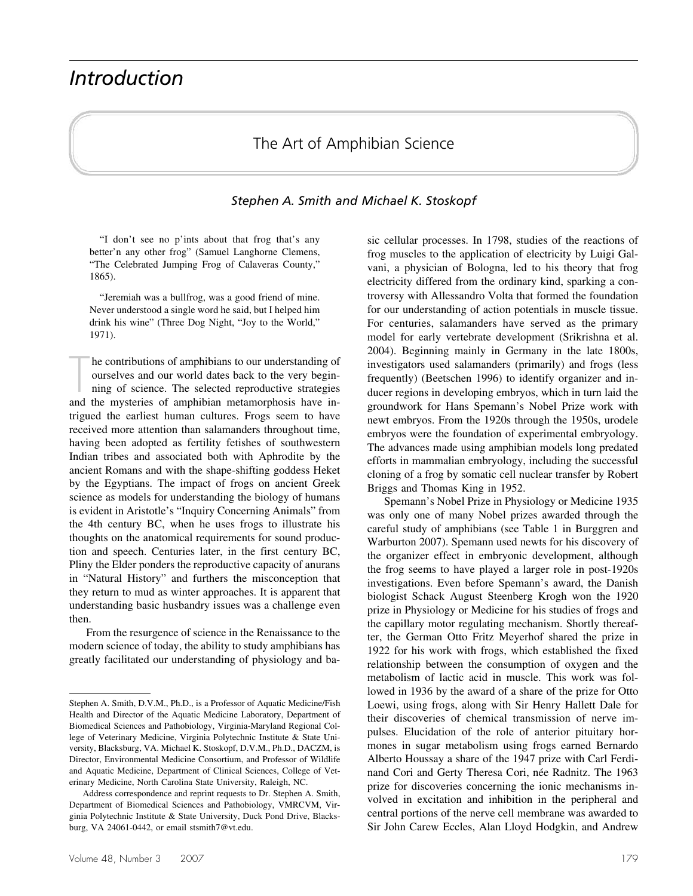## *Introduction*

## The Art of Amphibian Science

*Stephen A. Smith and Michael K. Stoskopf*

"I don't see no p'ints about that frog that's any better'n any other frog" (Samuel Langhorne Clemens, "The Celebrated Jumping Frog of Calaveras County," 1865).

"Jeremiah was a bullfrog, was a good friend of mine. Never understood a single word he said, but I helped him drink his wine" (Three Dog Night, "Joy to the World," 1971).

The contributions of amphibians to our understanding of ourselves and our world dates back to the very beginning of science. The selected reproductive strategies and the mysteries of amphibian metamorphosis have inhe contributions of amphibians to our understanding of ourselves and our world dates back to the very beginning of science. The selected reproductive strategies trigued the earliest human cultures. Frogs seem to have received more attention than salamanders throughout time, having been adopted as fertility fetishes of southwestern Indian tribes and associated both with Aphrodite by the ancient Romans and with the shape-shifting goddess Heket by the Egyptians. The impact of frogs on ancient Greek science as models for understanding the biology of humans is evident in Aristotle's "Inquiry Concerning Animals" from the 4th century BC, when he uses frogs to illustrate his thoughts on the anatomical requirements for sound production and speech. Centuries later, in the first century BC, Pliny the Elder ponders the reproductive capacity of anurans in "Natural History" and furthers the misconception that they return to mud as winter approaches. It is apparent that understanding basic husbandry issues was a challenge even then.

From the resurgence of science in the Renaissance to the modern science of today, the ability to study amphibians has greatly facilitated our understanding of physiology and basic cellular processes. In 1798, studies of the reactions of frog muscles to the application of electricity by Luigi Galvani, a physician of Bologna, led to his theory that frog electricity differed from the ordinary kind, sparking a controversy with Allessandro Volta that formed the foundation for our understanding of action potentials in muscle tissue. For centuries, salamanders have served as the primary model for early vertebrate development (Srikrishna et al. 2004). Beginning mainly in Germany in the late 1800s, investigators used salamanders (primarily) and frogs (less frequently) (Beetschen 1996) to identify organizer and inducer regions in developing embryos, which in turn laid the groundwork for Hans Spemann's Nobel Prize work with newt embryos. From the 1920s through the 1950s, urodele embryos were the foundation of experimental embryology. The advances made using amphibian models long predated efforts in mammalian embryology, including the successful cloning of a frog by somatic cell nuclear transfer by Robert Briggs and Thomas King in 1952.

Spemann's Nobel Prize in Physiology or Medicine 1935 was only one of many Nobel prizes awarded through the careful study of amphibians (see Table 1 in Burggren and Warburton 2007). Spemann used newts for his discovery of the organizer effect in embryonic development, although the frog seems to have played a larger role in post-1920s investigations. Even before Spemann's award, the Danish biologist Schack August Steenberg Krogh won the 1920 prize in Physiology or Medicine for his studies of frogs and the capillary motor regulating mechanism. Shortly thereafter, the German Otto Fritz Meyerhof shared the prize in 1922 for his work with frogs, which established the fixed relationship between the consumption of oxygen and the metabolism of lactic acid in muscle. This work was followed in 1936 by the award of a share of the prize for Otto Loewi, using frogs, along with Sir Henry Hallett Dale for their discoveries of chemical transmission of nerve impulses. Elucidation of the role of anterior pituitary hormones in sugar metabolism using frogs earned Bernardo Alberto Houssay a share of the 1947 prize with Carl Ferdinand Cori and Gerty Theresa Cori, née Radnitz. The 1963 prize for discoveries concerning the ionic mechanisms involved in excitation and inhibition in the peripheral and central portions of the nerve cell membrane was awarded to Sir John Carew Eccles, Alan Lloyd Hodgkin, and Andrew

Stephen A. Smith, D.V.M., Ph.D., is a Professor of Aquatic Medicine/Fish Health and Director of the Aquatic Medicine Laboratory, Department of Biomedical Sciences and Pathobiology, Virginia-Maryland Regional College of Veterinary Medicine, Virginia Polytechnic Institute & State University, Blacksburg, VA. Michael K. Stoskopf, D.V.M., Ph.D., DACZM, is Director, Environmental Medicine Consortium, and Professor of Wildlife and Aquatic Medicine, Department of Clinical Sciences, College of Veterinary Medicine, North Carolina State University, Raleigh, NC.

Address correspondence and reprint requests to Dr. Stephen A. Smith, Department of Biomedical Sciences and Pathobiology, VMRCVM, Virginia Polytechnic Institute & State University, Duck Pond Drive, Blacksburg, VA 24061-0442, or email stsmith7@vt.edu.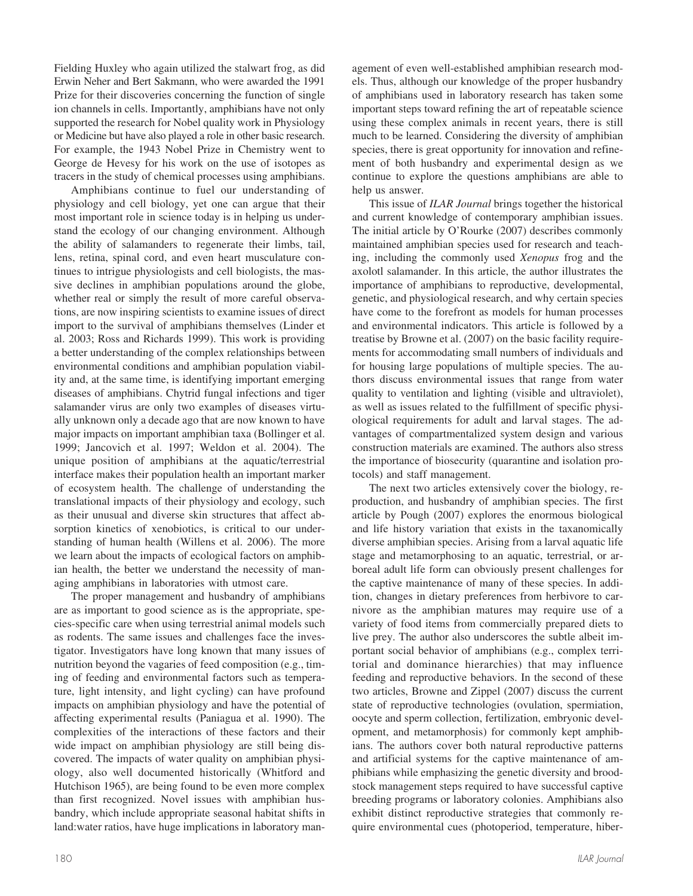Fielding Huxley who again utilized the stalwart frog, as did Erwin Neher and Bert Sakmann, who were awarded the 1991 Prize for their discoveries concerning the function of single ion channels in cells. Importantly, amphibians have not only supported the research for Nobel quality work in Physiology or Medicine but have also played a role in other basic research. For example, the 1943 Nobel Prize in Chemistry went to George de Hevesy for his work on the use of isotopes as tracers in the study of chemical processes using amphibians.

Amphibians continue to fuel our understanding of physiology and cell biology, yet one can argue that their most important role in science today is in helping us understand the ecology of our changing environment. Although the ability of salamanders to regenerate their limbs, tail, lens, retina, spinal cord, and even heart musculature continues to intrigue physiologists and cell biologists, the massive declines in amphibian populations around the globe, whether real or simply the result of more careful observations, are now inspiring scientists to examine issues of direct import to the survival of amphibians themselves (Linder et al. 2003; Ross and Richards 1999). This work is providing a better understanding of the complex relationships between environmental conditions and amphibian population viability and, at the same time, is identifying important emerging diseases of amphibians. Chytrid fungal infections and tiger salamander virus are only two examples of diseases virtually unknown only a decade ago that are now known to have major impacts on important amphibian taxa (Bollinger et al. 1999; Jancovich et al. 1997; Weldon et al. 2004). The unique position of amphibians at the aquatic/terrestrial interface makes their population health an important marker of ecosystem health. The challenge of understanding the translational impacts of their physiology and ecology, such as their unusual and diverse skin structures that affect absorption kinetics of xenobiotics, is critical to our understanding of human health (Willens et al. 2006). The more we learn about the impacts of ecological factors on amphibian health, the better we understand the necessity of managing amphibians in laboratories with utmost care.

The proper management and husbandry of amphibians are as important to good science as is the appropriate, species-specific care when using terrestrial animal models such as rodents. The same issues and challenges face the investigator. Investigators have long known that many issues of nutrition beyond the vagaries of feed composition (e.g., timing of feeding and environmental factors such as temperature, light intensity, and light cycling) can have profound impacts on amphibian physiology and have the potential of affecting experimental results (Paniagua et al. 1990). The complexities of the interactions of these factors and their wide impact on amphibian physiology are still being discovered. The impacts of water quality on amphibian physiology, also well documented historically (Whitford and Hutchison 1965), are being found to be even more complex than first recognized. Novel issues with amphibian husbandry, which include appropriate seasonal habitat shifts in land:water ratios, have huge implications in laboratory man-

agement of even well-established amphibian research models. Thus, although our knowledge of the proper husbandry of amphibians used in laboratory research has taken some important steps toward refining the art of repeatable science using these complex animals in recent years, there is still much to be learned. Considering the diversity of amphibian species, there is great opportunity for innovation and refinement of both husbandry and experimental design as we continue to explore the questions amphibians are able to help us answer.

This issue of *ILAR Journal* brings together the historical and current knowledge of contemporary amphibian issues. The initial article by O'Rourke (2007) describes commonly maintained amphibian species used for research and teaching, including the commonly used *Xenopus* frog and the axolotl salamander. In this article, the author illustrates the importance of amphibians to reproductive, developmental, genetic, and physiological research, and why certain species have come to the forefront as models for human processes and environmental indicators. This article is followed by a treatise by Browne et al. (2007) on the basic facility requirements for accommodating small numbers of individuals and for housing large populations of multiple species. The authors discuss environmental issues that range from water quality to ventilation and lighting (visible and ultraviolet), as well as issues related to the fulfillment of specific physiological requirements for adult and larval stages. The advantages of compartmentalized system design and various construction materials are examined. The authors also stress the importance of biosecurity (quarantine and isolation protocols) and staff management.

The next two articles extensively cover the biology, reproduction, and husbandry of amphibian species. The first article by Pough (2007) explores the enormous biological and life history variation that exists in the taxanomically diverse amphibian species. Arising from a larval aquatic life stage and metamorphosing to an aquatic, terrestrial, or arboreal adult life form can obviously present challenges for the captive maintenance of many of these species. In addition, changes in dietary preferences from herbivore to carnivore as the amphibian matures may require use of a variety of food items from commercially prepared diets to live prey. The author also underscores the subtle albeit important social behavior of amphibians (e.g., complex territorial and dominance hierarchies) that may influence feeding and reproductive behaviors. In the second of these two articles, Browne and Zippel (2007) discuss the current state of reproductive technologies (ovulation, spermiation, oocyte and sperm collection, fertilization, embryonic development, and metamorphosis) for commonly kept amphibians. The authors cover both natural reproductive patterns and artificial systems for the captive maintenance of amphibians while emphasizing the genetic diversity and broodstock management steps required to have successful captive breeding programs or laboratory colonies. Amphibians also exhibit distinct reproductive strategies that commonly require environmental cues (photoperiod, temperature, hiber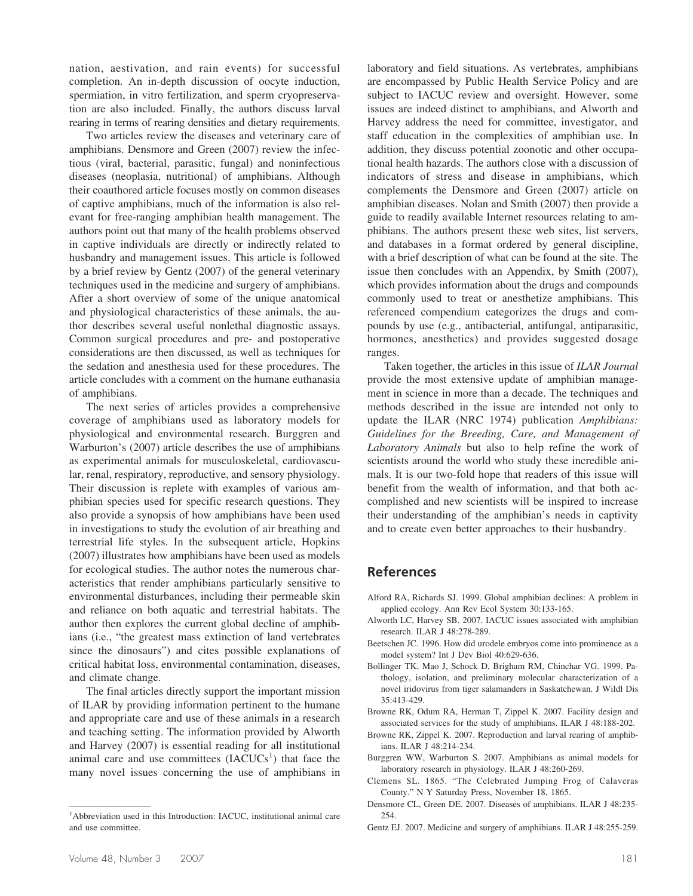nation, aestivation, and rain events) for successful completion. An in-depth discussion of oocyte induction, spermiation, in vitro fertilization, and sperm cryopreservation are also included. Finally, the authors discuss larval rearing in terms of rearing densities and dietary requirements.

Two articles review the diseases and veterinary care of amphibians. Densmore and Green (2007) review the infectious (viral, bacterial, parasitic, fungal) and noninfectious diseases (neoplasia, nutritional) of amphibians. Although their coauthored article focuses mostly on common diseases of captive amphibians, much of the information is also relevant for free-ranging amphibian health management. The authors point out that many of the health problems observed in captive individuals are directly or indirectly related to husbandry and management issues. This article is followed by a brief review by Gentz (2007) of the general veterinary techniques used in the medicine and surgery of amphibians. After a short overview of some of the unique anatomical and physiological characteristics of these animals, the author describes several useful nonlethal diagnostic assays. Common surgical procedures and pre- and postoperative considerations are then discussed, as well as techniques for the sedation and anesthesia used for these procedures. The article concludes with a comment on the humane euthanasia of amphibians.

The next series of articles provides a comprehensive coverage of amphibians used as laboratory models for physiological and environmental research. Burggren and Warburton's (2007) article describes the use of amphibians as experimental animals for musculoskeletal, cardiovascular, renal, respiratory, reproductive, and sensory physiology. Their discussion is replete with examples of various amphibian species used for specific research questions. They also provide a synopsis of how amphibians have been used in investigations to study the evolution of air breathing and terrestrial life styles. In the subsequent article, Hopkins (2007) illustrates how amphibians have been used as models for ecological studies. The author notes the numerous characteristics that render amphibians particularly sensitive to environmental disturbances, including their permeable skin and reliance on both aquatic and terrestrial habitats. The author then explores the current global decline of amphibians (i.e., "the greatest mass extinction of land vertebrates since the dinosaurs") and cites possible explanations of critical habitat loss, environmental contamination, diseases, and climate change.

The final articles directly support the important mission of ILAR by providing information pertinent to the humane and appropriate care and use of these animals in a research and teaching setting. The information provided by Alworth and Harvey (2007) is essential reading for all institutional animal care and use committees  $(IACUCs<sup>1</sup>)$  that face the many novel issues concerning the use of amphibians in

laboratory and field situations. As vertebrates, amphibians are encompassed by Public Health Service Policy and are subject to IACUC review and oversight. However, some issues are indeed distinct to amphibians, and Alworth and Harvey address the need for committee, investigator, and staff education in the complexities of amphibian use. In addition, they discuss potential zoonotic and other occupational health hazards. The authors close with a discussion of indicators of stress and disease in amphibians, which complements the Densmore and Green (2007) article on amphibian diseases. Nolan and Smith (2007) then provide a guide to readily available Internet resources relating to amphibians. The authors present these web sites, list servers, and databases in a format ordered by general discipline, with a brief description of what can be found at the site. The issue then concludes with an Appendix, by Smith (2007), which provides information about the drugs and compounds commonly used to treat or anesthetize amphibians. This referenced compendium categorizes the drugs and compounds by use (e.g., antibacterial, antifungal, antiparasitic, hormones, anesthetics) and provides suggested dosage ranges.

Taken together, the articles in this issue of *ILAR Journal* provide the most extensive update of amphibian management in science in more than a decade. The techniques and methods described in the issue are intended not only to update the ILAR (NRC 1974) publication *Amphibians: Guidelines for the Breeding, Care, and Management of Laboratory Animals* but also to help refine the work of scientists around the world who study these incredible animals. It is our two-fold hope that readers of this issue will benefit from the wealth of information, and that both accomplished and new scientists will be inspired to increase their understanding of the amphibian's needs in captivity and to create even better approaches to their husbandry.

## **References**

- Alford RA, Richards SJ. 1999. Global amphibian declines: A problem in applied ecology. Ann Rev Ecol System 30:133-165.
- Alworth LC, Harvey SB. 2007. IACUC issues associated with amphibian research. ILAR J 48:278-289.
- Beetschen JC. 1996. How did urodele embryos come into prominence as a model system? Int J Dev Biol 40:629-636.
- Bollinger TK, Mao J, Schock D, Brigham RM, Chinchar VG. 1999. Pathology, isolation, and preliminary molecular characterization of a novel iridovirus from tiger salamanders in Saskatchewan. J Wildl Dis 35:413-429.
- Browne RK, Odum RA, Herman T, Zippel K. 2007. Facility design and associated services for the study of amphibians. ILAR J 48:188-202.
- Browne RK, Zippel K. 2007. Reproduction and larval rearing of amphibians. ILAR J 48:214-234.
- Burggren WW, Warburton S. 2007. Amphibians as animal models for laboratory research in physiology. ILAR J 48:260-269.
- Clemens SL. 1865. "The Celebrated Jumping Frog of Calaveras County." N Y Saturday Press, November 18, 1865.
- Densmore CL, Green DE. 2007. Diseases of amphibians. ILAR J 48:235- 254.
- Gentz EJ. 2007. Medicine and surgery of amphibians. ILAR J 48:255-259.

<sup>&</sup>lt;sup>1</sup>Abbreviation used in this Introduction: IACUC, institutional animal care and use committee.